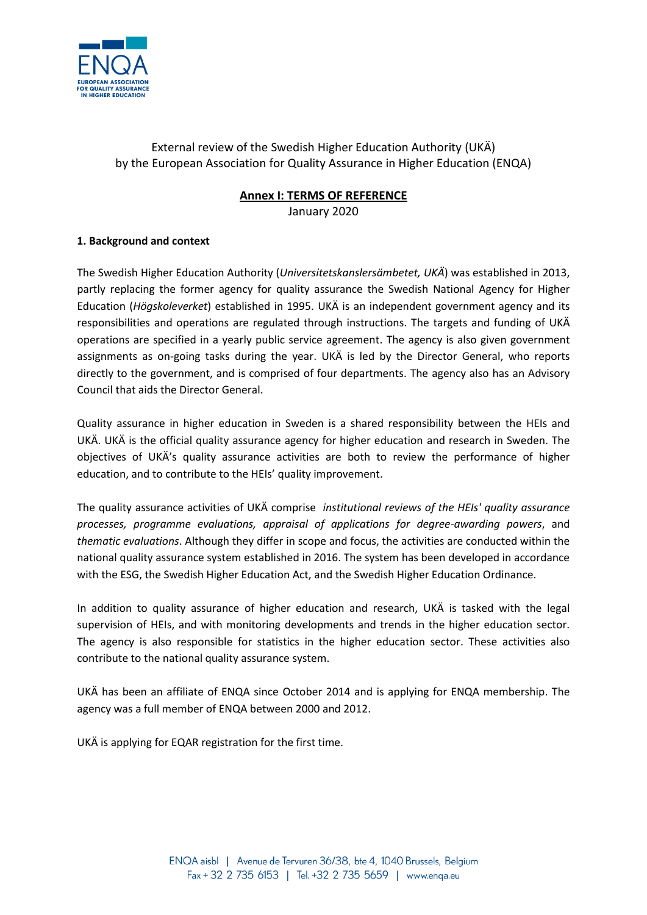

# External review of the Swedish Higher Education Authority (UKÄ) by the European Association for Quality Assurance in Higher Education (ENQA)

# **Annex I: TERMS OF REFERENCE**

January 2020

# **1. Background and context**

The Swedish Higher Education Authority (*Universitetskanslersämbetet, UKÄ*) was established in 2013, partly replacing the former agency for quality assurance the Swedish National Agency for Higher Education (*Högskoleverket*) established in 1995. UKÄ is an independent government agency and its responsibilities and operations are regulated through instructions. The targets and funding of UKÄ operations are specified in a yearly public service agreement. The agency is also given government assignments as on-going tasks during the year. UKÄ is led by the Director General, who reports directly to the government, and is comprised of four departments. The agency also has an Advisory Council that aids the Director General.

Quality assurance in higher education in Sweden is a shared responsibility between the HEIs and UKÄ. UKÄ is the official quality assurance agency for higher education and research in Sweden. The objectives of UKÄ's quality assurance activities are both to review the performance of higher education, and to contribute to the HEIs' quality improvement.

The quality assurance activities of UKÄ comprise *institutional reviews of the HEIs' quality assurance processes, programme evaluations, appraisal of applications for degree-awarding powers*, and *thematic evaluations*. Although they differ in scope and focus, the activities are conducted within the national quality assurance system established in 2016. The system has been developed in accordance with the ESG, the Swedish Higher Education Act, and the Swedish Higher Education Ordinance.

In addition to quality assurance of higher education and research, UKÄ is tasked with the legal supervision of HEIs, and with monitoring developments and trends in the higher education sector. The agency is also responsible for statistics in the higher education sector. These activities also contribute to the national quality assurance system.

UKÄ has been an affiliate of ENQA since October 2014 and is applying for ENQA membership. The agency was a full member of ENQA between 2000 and 2012.

UKÄ is applying for EQAR registration for the first time.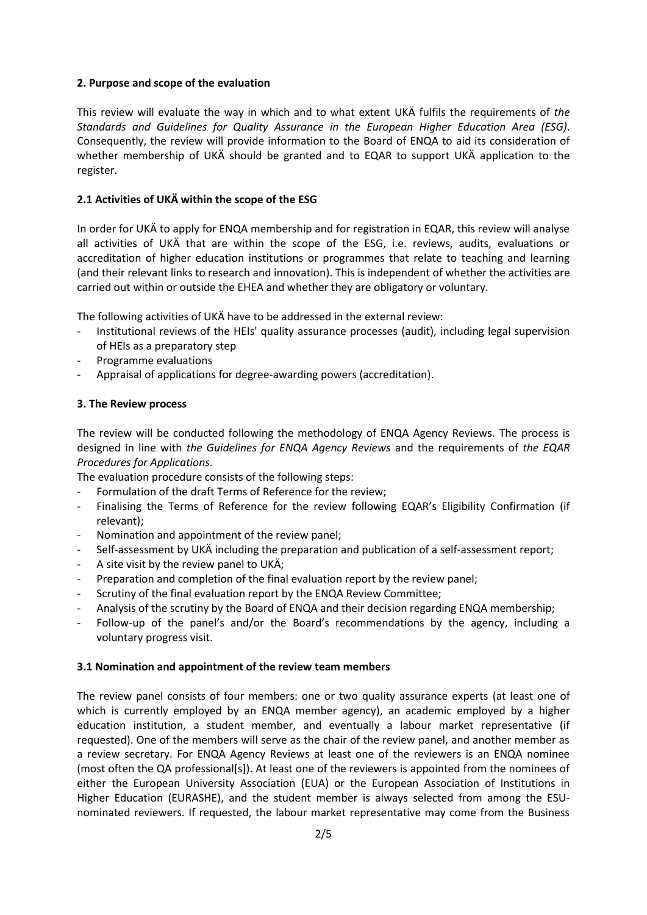### **2. Purpose and scope of the evaluation**

This review will evaluate the way in which and to what extent UKÄ fulfils the requirements of *the Standards and Guidelines for Quality Assurance in the European Higher Education Area (ESG)*. Consequently, the review will provide information to the Board of ENQA to aid its consideration of whether membership of UKÄ should be granted and to EQAR to support UKÄ application to the register.

# **2.1 Activities of UKÄ within the scope of the ESG**

In order for UKÄ to apply for ENQA membership and for registration in EQAR, this review will analyse all activities of UKÄ that are within the scope of the ESG, i.e. reviews, audits, evaluations or accreditation of higher education institutions or programmes that relate to teaching and learning (and their relevant links to research and innovation). This is independent of whether the activities are carried out within or outside the EHEA and whether they are obligatory or voluntary.

The following activities of UKÄ have to be addressed in the external review:

- Institutional reviews of the HEIs' quality assurance processes (audit), including legal supervision of HEIs as a preparatory step
- Programme evaluations
- Appraisal of applications for degree-awarding powers (accreditation).

# **3. The Review process**

The review will be conducted following the methodology of ENQA Agency Reviews. The process is designed in line with *the Guidelines for ENQA Agency Reviews* and the requirements of *the EQAR Procedures for Applications*.

The evaluation procedure consists of the following steps:

- Formulation of the draft Terms of Reference for the review;
- Finalising the Terms of Reference for the review following EQAR's Eligibility Confirmation (if relevant);
- Nomination and appointment of the review panel;
- Self-assessment by UKÄ including the preparation and publication of a self-assessment report;
- A site visit by the review panel to UKÄ;
- Preparation and completion of the final evaluation report by the review panel;
- Scrutiny of the final evaluation report by the ENQA Review Committee;
- Analysis of the scrutiny by the Board of ENQA and their decision regarding ENQA membership;
- Follow-up of the panel's and/or the Board's recommendations by the agency, including a voluntary progress visit.

### **3.1 Nomination and appointment of the review team members**

The review panel consists of four members: one or two quality assurance experts (at least one of which is currently employed by an ENQA member agency), an academic employed by a higher education institution, a student member, and eventually a labour market representative (if requested). One of the members will serve as the chair of the review panel, and another member as a review secretary. For ENQA Agency Reviews at least one of the reviewers is an ENQA nominee (most often the QA professional[s]). At least one of the reviewers is appointed from the nominees of either the European University Association (EUA) or the European Association of Institutions in Higher Education (EURASHE), and the student member is always selected from among the ESUnominated reviewers. If requested, the labour market representative may come from the Business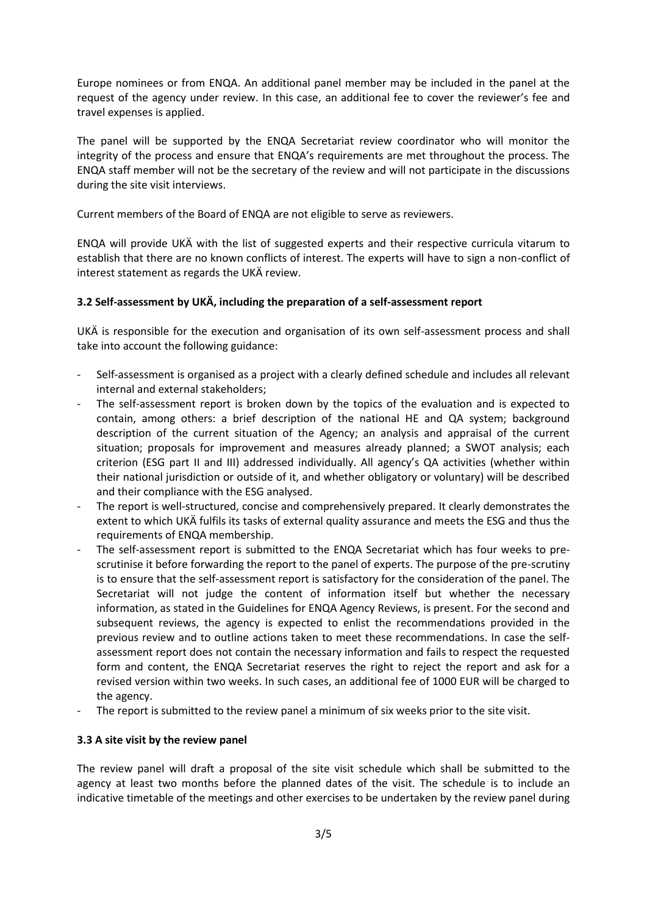Europe nominees or from ENQA. An additional panel member may be included in the panel at the request of the agency under review. In this case, an additional fee to cover the reviewer's fee and travel expenses is applied.

The panel will be supported by the ENQA Secretariat review coordinator who will monitor the integrity of the process and ensure that ENQA's requirements are met throughout the process. The ENQA staff member will not be the secretary of the review and will not participate in the discussions during the site visit interviews.

Current members of the Board of ENQA are not eligible to serve as reviewers.

ENQA will provide UKÄ with the list of suggested experts and their respective curricula vitarum to establish that there are no known conflicts of interest. The experts will have to sign a non-conflict of interest statement as regards the UKÄ review.

# **3.2 Self-assessment by UKÄ, including the preparation of a self-assessment report**

UKÄ is responsible for the execution and organisation of its own self-assessment process and shall take into account the following guidance:

- Self-assessment is organised as a project with a clearly defined schedule and includes all relevant internal and external stakeholders;
- The self-assessment report is broken down by the topics of the evaluation and is expected to contain, among others: a brief description of the national HE and QA system; background description of the current situation of the Agency; an analysis and appraisal of the current situation; proposals for improvement and measures already planned; a SWOT analysis; each criterion (ESG part II and III) addressed individually. All agency's QA activities (whether within their national jurisdiction or outside of it, and whether obligatory or voluntary) will be described and their compliance with the ESG analysed.
- The report is well-structured, concise and comprehensively prepared. It clearly demonstrates the extent to which UKÄ fulfils its tasks of external quality assurance and meets the ESG and thus the requirements of ENQA membership.
- The self-assessment report is submitted to the ENQA Secretariat which has four weeks to prescrutinise it before forwarding the report to the panel of experts. The purpose of the pre-scrutiny is to ensure that the self-assessment report is satisfactory for the consideration of the panel. The Secretariat will not judge the content of information itself but whether the necessary information, as stated in the Guidelines for ENQA Agency Reviews, is present. For the second and subsequent reviews, the agency is expected to enlist the recommendations provided in the previous review and to outline actions taken to meet these recommendations. In case the selfassessment report does not contain the necessary information and fails to respect the requested form and content, the ENQA Secretariat reserves the right to reject the report and ask for a revised version within two weeks. In such cases, an additional fee of 1000 EUR will be charged to the agency.
- The report is submitted to the review panel a minimum of six weeks prior to the site visit.

### **3.3 A site visit by the review panel**

The review panel will draft a proposal of the site visit schedule which shall be submitted to the agency at least two months before the planned dates of the visit. The schedule is to include an indicative timetable of the meetings and other exercises to be undertaken by the review panel during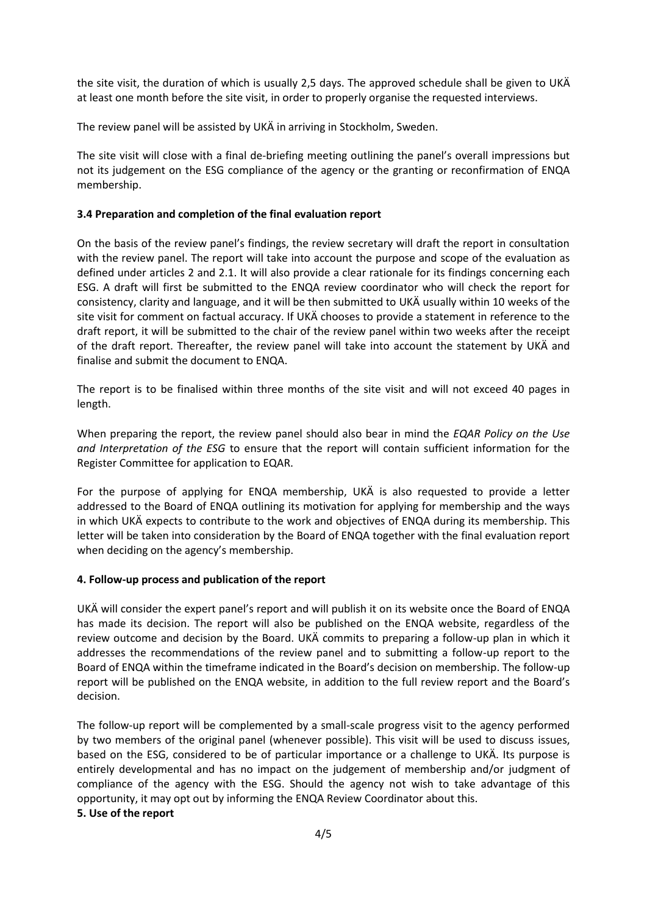the site visit, the duration of which is usually 2,5 days. The approved schedule shall be given to UKÄ at least one month before the site visit, in order to properly organise the requested interviews.

The review panel will be assisted by UKÄ in arriving in Stockholm, Sweden.

The site visit will close with a final de-briefing meeting outlining the panel's overall impressions but not its judgement on the ESG compliance of the agency or the granting or reconfirmation of ENQA membership.

## **3.4 Preparation and completion of the final evaluation report**

On the basis of the review panel's findings, the review secretary will draft the report in consultation with the review panel. The report will take into account the purpose and scope of the evaluation as defined under articles 2 and 2.1. It will also provide a clear rationale for its findings concerning each ESG. A draft will first be submitted to the ENQA review coordinator who will check the report for consistency, clarity and language, and it will be then submitted to UKÄ usually within 10 weeks of the site visit for comment on factual accuracy. If UKÄ chooses to provide a statement in reference to the draft report, it will be submitted to the chair of the review panel within two weeks after the receipt of the draft report. Thereafter, the review panel will take into account the statement by UKÄ and finalise and submit the document to ENQA.

The report is to be finalised within three months of the site visit and will not exceed 40 pages in length.

When preparing the report, the review panel should also bear in mind the *EQAR Policy on the Use and Interpretation of the ESG* to ensure that the report will contain sufficient information for the Register Committee for application to EQAR.

For the purpose of applying for ENQA membership, UKÄ is also requested to provide a letter addressed to the Board of ENQA outlining its motivation for applying for membership and the ways in which UKÄ expects to contribute to the work and objectives of ENQA during its membership. This letter will be taken into consideration by the Board of ENQA together with the final evaluation report when deciding on the agency's membership.

### **4. Follow-up process and publication of the report**

UKÄ will consider the expert panel's report and will publish it on its website once the Board of ENQA has made its decision. The report will also be published on the ENQA website, regardless of the review outcome and decision by the Board. UKÄ commits to preparing a follow-up plan in which it addresses the recommendations of the review panel and to submitting a follow-up report to the Board of ENQA within the timeframe indicated in the Board's decision on membership. The follow-up report will be published on the ENQA website, in addition to the full review report and the Board's decision.

The follow-up report will be complemented by a small-scale progress visit to the agency performed by two members of the original panel (whenever possible). This visit will be used to discuss issues, based on the ESG, considered to be of particular importance or a challenge to UKÄ. Its purpose is entirely developmental and has no impact on the judgement of membership and/or judgment of compliance of the agency with the ESG. Should the agency not wish to take advantage of this opportunity, it may opt out by informing the ENQA Review Coordinator about this.

### **5. Use of the report**